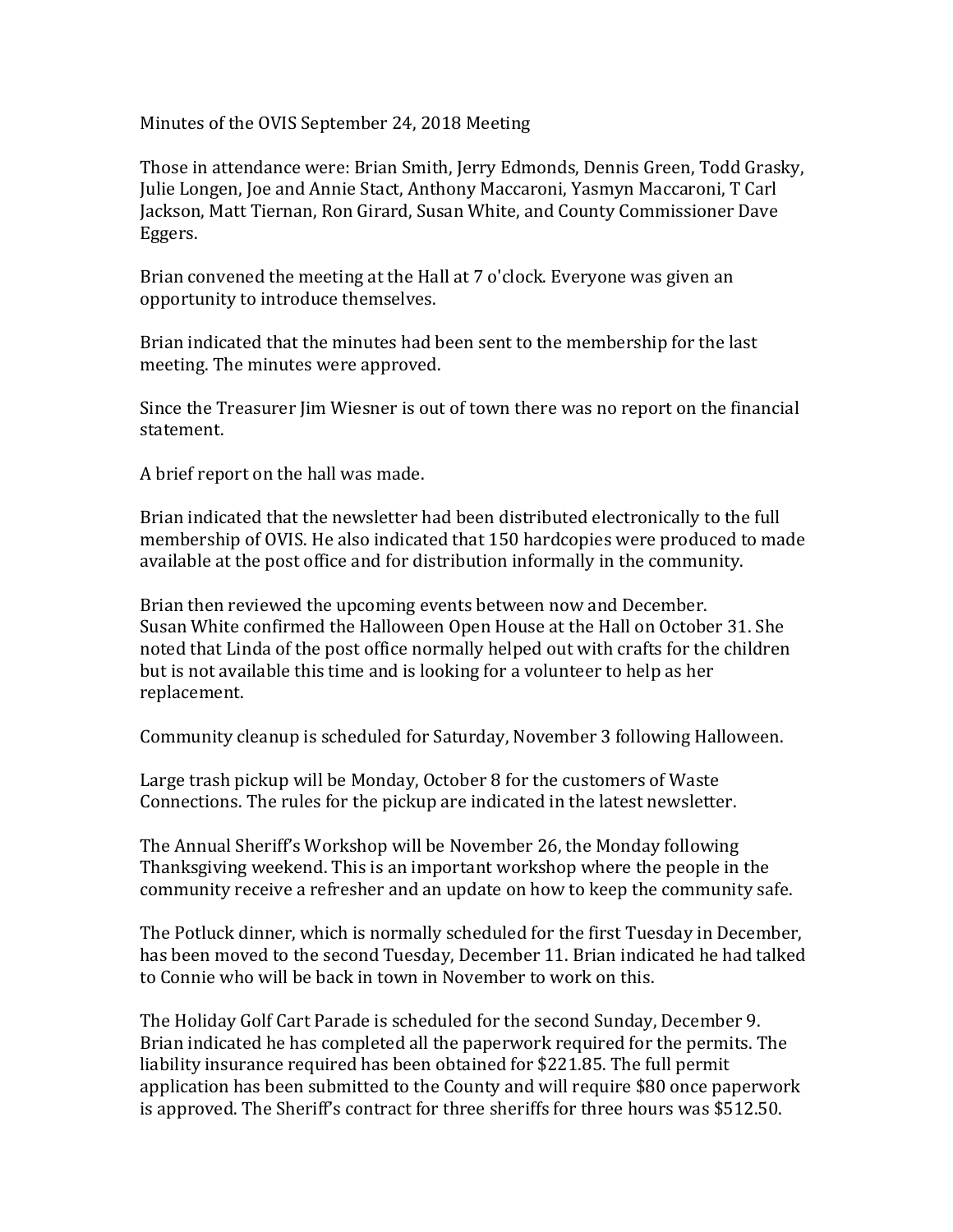Minutes of the OVIS September 24, 2018 Meeting

Those in attendance were: Brian Smith, Jerry Edmonds, Dennis Green, Todd Grasky, Julie Longen, Joe and Annie Stact, Anthony Maccaroni, Yasmyn Maccaroni, T Carl Jackson, Matt Tiernan, Ron Girard, Susan White, and County Commissioner Dave Eggers.

Brian convened the meeting at the Hall at 7 o'clock. Everyone was given an opportunity to introduce themselves.

Brian indicated that the minutes had been sent to the membership for the last meeting. The minutes were approved.

Since the Treasurer Jim Wiesner is out of town there was no report on the financial statement.

A brief report on the hall was made.

Brian indicated that the newsletter had been distributed electronically to the full membership of OVIS. He also indicated that 150 hardcopies were produced to made available at the post office and for distribution informally in the community.

Brian then reviewed the upcoming events between now and December. Susan White confirmed the Halloween Open House at the Hall on October 31. She noted that Linda of the post office normally helped out with crafts for the children but is not available this time and is looking for a volunteer to help as her replacement.

Community cleanup is scheduled for Saturday, November 3 following Halloween.

Large trash pickup will be Monday, October 8 for the customers of Waste Connections. The rules for the pickup are indicated in the latest newsletter.

The Annual Sheriff's Workshop will be November 26, the Monday following Thanksgiving weekend. This is an important workshop where the people in the community receive a refresher and an update on how to keep the community safe.

The Potluck dinner, which is normally scheduled for the first Tuesday in December, has been moved to the second Tuesday, December 11. Brian indicated he had talked to Connie who will be back in town in November to work on this.

The Holiday Golf Cart Parade is scheduled for the second Sunday, December 9. Brian indicated he has completed all the paperwork required for the permits. The liability insurance required has been obtained for \$221.85. The full permit application has been submitted to the County and will require \$80 once paperwork is approved. The Sheriff's contract for three sheriffs for three hours was \$512.50.